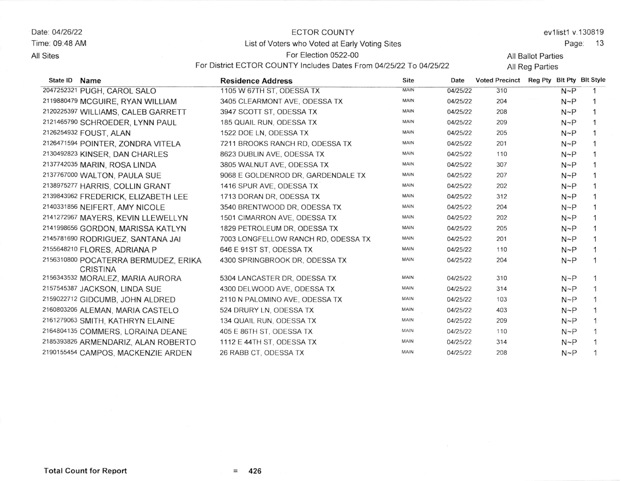Date: 04/26/22 Time: 09.48 AM **All Sites** 

## ECTOR COUNTY List of Voters who Voted at Early Voting Sites

ev1list1 v.130819

Page: 13

All Ballot Parties

For District ECTOR COUNTY Includes Dates From 04/25/22 To 04/25/22

For Election 0522-00

All Reg Parties

| State ID<br><b>Name</b>                                 | <b>Residence Address</b>   |                                     | <b>Site</b><br>Date     | <b>Voted Precinct</b> | Reg Pty Bit Pty Bit Style |            |              |
|---------------------------------------------------------|----------------------------|-------------------------------------|-------------------------|-----------------------|---------------------------|------------|--------------|
| 2047252321 PUGH, CAROL SALO                             | 1105 W 67TH ST, ODESSA TX  |                                     | <b>MAIN</b><br>04/25/22 | 310                   |                           | $N \sim P$ |              |
| 2119880479 MCGUIRE, RYAN WILLIAM                        |                            | 3405 CLEARMONT AVE, ODESSA TX       | <b>MAIN</b><br>04/25/22 | 204                   |                           | $N \sim P$ |              |
| 2120225397 WILLIAMS, CALEB GARRETT                      | 3947 SCOTT ST, ODESSA TX   |                                     | <b>MAIN</b><br>04/25/22 | 208                   |                           | $N \sim P$ |              |
| 2121465790 SCHROEDER, LYNN PAUL                         | 185 QUAIL RUN, ODESSA TX   |                                     | <b>MAIN</b><br>04/25/22 | 209                   |                           | $N \sim P$ |              |
| 2126254932 FOUST, ALAN                                  | 1522 DOE LN, ODESSA TX     |                                     | <b>MAIN</b><br>04/25/22 | 205                   |                           | $N \sim P$ |              |
| 2126471594 POINTER, ZONDRA VITELA                       |                            | 7211 BROOKS RANCH RD, ODESSA TX     | MAIN<br>04/25/22        | 201                   |                           | $N \sim P$ |              |
| 2130492823 KINSER, DAN CHARLES                          | 8623 DUBLIN AVE, ODESSA TX |                                     | <b>MAIN</b><br>04/25/22 | 110                   |                           | $N \sim P$ |              |
| 2137742035 MARIN, ROSA LINDA                            | 3805 WALNUT AVE, ODESSA TX |                                     | <b>MAIN</b><br>04/25/22 | 307                   |                           | $N \sim P$ | 1            |
| 2137767000 WALTON, PAULA SUE                            |                            | 9068 E GOLDENROD DR, GARDENDALE TX  | <b>MAIN</b><br>04/25/22 | 207                   |                           | $N \sim P$ | 1            |
| 2138975277 HARRIS, COLLIN GRANT                         | 1416 SPUR AVE, ODESSA TX   |                                     | <b>MAIN</b><br>04/25/22 | 202                   |                           | $N \sim P$ |              |
| 2139843962 FREDERICK, ELIZABETH LEE                     | 1713 DORAN DR, ODESSA TX   |                                     | <b>MAIN</b><br>04/25/22 | 312                   |                           | $N \sim P$ |              |
| 2140331856 NEIFERT, AMY NICOLE                          |                            | 3540 BRENTWOOD DR. ODESSA TX        | <b>MAIN</b><br>04/25/22 | 204                   |                           | $N \sim P$ |              |
| 2141272967 MAYERS, KEVIN LLEWELLYN                      |                            | 1501 CIMARRON AVE, ODESSA TX        | MAIN<br>04/25/22        | 202                   |                           | $N \sim P$ | 1            |
| 2141998656 GORDON, MARISSA KATLYN                       |                            | 1829 PETROLEUM DR, ODESSA TX        | <b>MAIN</b><br>04/25/22 | 205                   |                           | $N \sim P$ | $\mathbf{1}$ |
| 2145781690 RODRIGUEZ, SANTANA JAI                       |                            | 7003 LONGFELLOW RANCH RD, ODESSA TX | <b>MAIN</b><br>04/25/22 | 201                   |                           | $N \sim P$ |              |
| 2155648210 FLORES, ADRIANA P                            | 646 E 91ST ST, ODESSA TX   |                                     | <b>MAIN</b><br>04/25/22 | 110                   |                           | $N \sim P$ | 1            |
| 2156310800 POCATERRA BERMUDEZ, ERIKA<br><b>CRISTINA</b> |                            | 4300 SPRINGBROOK DR, ODESSA TX      | <b>MAIN</b><br>04/25/22 | 204                   |                           | $N \sim P$ | $\mathbf{1}$ |
| 2156343532 MORALEZ, MARIA AURORA                        |                            | 5304 LANCASTER DR, ODESSA TX        | <b>MAIN</b><br>04/25/22 | 310                   |                           | $N \sim P$ | 1            |
| 2157545387 JACKSON, LINDA SUE                           |                            | 4300 DELWOOD AVE, ODESSA TX         | <b>MAIN</b><br>04/25/22 | 314                   |                           | $N \sim P$ | 1            |
| 2159022712 GIDCUMB, JOHN ALDRED                         |                            | 2110 N PALOMINO AVE, ODESSA TX      | <b>MAIN</b><br>04/25/22 | 103                   |                           | $N \sim P$ | 1            |
| 2160803206 ALEMAN, MARIA CASTELO                        | 524 DRURY LN, ODESSA TX    |                                     | MAIN<br>04/25/22        | 403                   |                           | $N \sim P$ | $\mathbf{1}$ |
| 2161279063 SMITH, KATHRYN ELAINE                        | 134 QUAIL RUN, ODESSA TX   |                                     | MAIN<br>04/25/22        | 209                   |                           | $N \sim P$ | $\mathbf{1}$ |
| 2164804135 COMMERS, LORAINA DEANE                       | 405 E 86TH ST, ODESSA TX   |                                     | MAIN<br>04/25/22        | 110                   |                           | $N \sim P$ | $\mathbf{1}$ |
| 2185393826 ARMENDARIZ, ALAN ROBERTO                     | 1112 E 44TH ST, ODESSA TX  |                                     | <b>MAIN</b><br>04/25/22 | 314                   |                           | $N \sim P$ |              |
| 2190155454 CAMPOS, MACKENZIE ARDEN                      | 26 RABB CT, ODESSA TX      |                                     | MAIN<br>04/25/22        | 208                   |                           | $N \sim P$ |              |